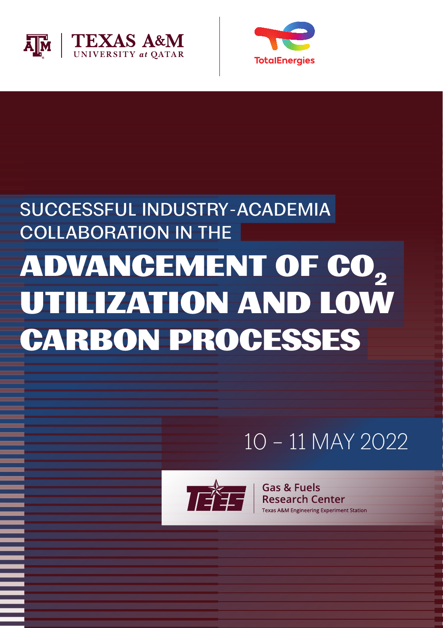



## SUCCESSFUL INDUSTRY-ACADEMIA COLLABORATION IN THE ADVANCEMENT OF CO<sub>2</sub> UTILIZATION AND LOW CARBON PROCESSES

### 10 – 11 MAY 2022



**Cas & Fuels**<br> **Cas & Fuels**<br>
Research Center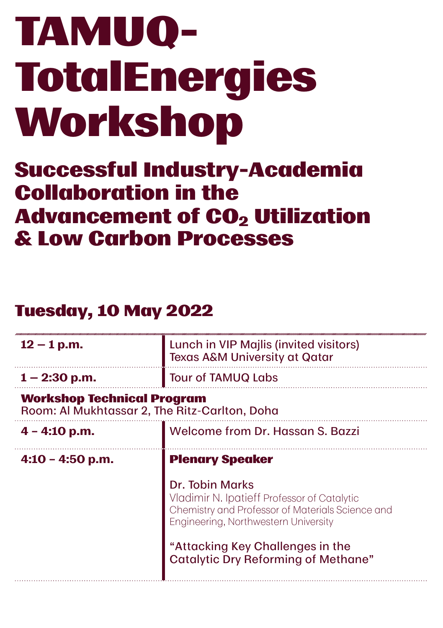# TAMUQ-**TotalEnergies** Workshop

#### Successful Industry-Academia Collaboration in the **Advancement of CO<sub>2</sub> Utilization** & Low Carbon Processes

#### Tuesday, 10 May 2022

| $12 - 1$ p.m.                                                                      | Lunch in VIP Majlis (invited visitors)<br><b>Texas A&amp;M University at Qatar</b>                                                                                                                                                           |
|------------------------------------------------------------------------------------|----------------------------------------------------------------------------------------------------------------------------------------------------------------------------------------------------------------------------------------------|
| $1 - 2:30$ p.m.                                                                    | <b>Tour of TAMUQ Labs</b>                                                                                                                                                                                                                    |
| <b>Workshop Technical Program</b><br>Room: Al Mukhtassar 2, The Ritz-Carlton, Doha |                                                                                                                                                                                                                                              |
| $4 - 4:10$ p.m.                                                                    | Welcome from Dr. Hassan S. Bazzi                                                                                                                                                                                                             |
| $4:10 - 4:50$ p.m.                                                                 | <b>Plenary Speaker</b>                                                                                                                                                                                                                       |
|                                                                                    | Dr. Tobin Marks<br>Vladimir N. Ipatieff Professor of Catalytic<br>Chemistry and Professor of Materials Science and<br>Engineering, Northwestern University<br>"Attacking Key Challenges in the<br><b>Catalytic Dry Reforming of Methane"</b> |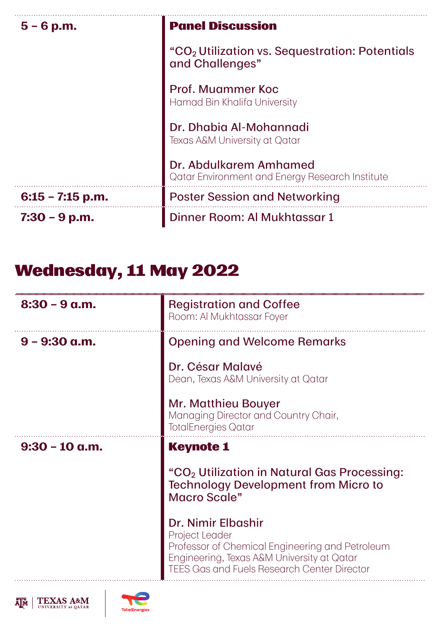| $5 - 6$ p.m.       | <b>Panel Discussion</b>                                                       |
|--------------------|-------------------------------------------------------------------------------|
|                    | "CO <sub>2</sub> Utilization vs. Sequestration: Potentials<br>and Challenges" |
|                    | Prof. Muammer Koc<br>Hamad Bin Khalifa University                             |
|                    | Dr. Dhabia Al-Mohannadi<br>Texas A&M University at Qatar                      |
|                    | Dr. Abdulkarem Amhamed<br>Qatar Environment and Energy Research Institute     |
| $6:15 - 7:15$ p.m. | <b>Poster Session and Networking</b>                                          |
| $7:30 - 9$ p.m.    | Dinner Room: Al Mukhtassar 1                                                  |

#### Wednesday, 11 May 2022

| $8:30 - 9$ a.m.  | <b>Registration and Coffee</b><br>Room: Al Mukhtassar Foyer                                                                                                                                 |
|------------------|---------------------------------------------------------------------------------------------------------------------------------------------------------------------------------------------|
| $9 - 9:30$ a.m.  | <b>Opening and Welcome Remarks</b>                                                                                                                                                          |
|                  | Dr. César Malavé<br>Dean, Texas A&M University at Qatar                                                                                                                                     |
|                  | Mr. Matthieu Bouyer<br>Managing Director and Country Chair,<br><b>TotalEnergies Qatar</b>                                                                                                   |
| $9:30 - 10$ a.m. | <b>Keynote 1</b>                                                                                                                                                                            |
|                  | "CO <sub>2</sub> Utilization in Natural Gas Processing:<br><b>Technology Development from Micro to</b><br>Macro Scale"                                                                      |
|                  | Dr. Nimir Elbashir<br>Project Leader<br>Professor of Chemical Engineering and Petroleum<br>Engineering, Texas A&M University at Qatar<br><b>TEES Gas and Fuels Research Center Director</b> |



 $\overline{\mathbf{A}\mathbf{M}}$  TEXAS A&M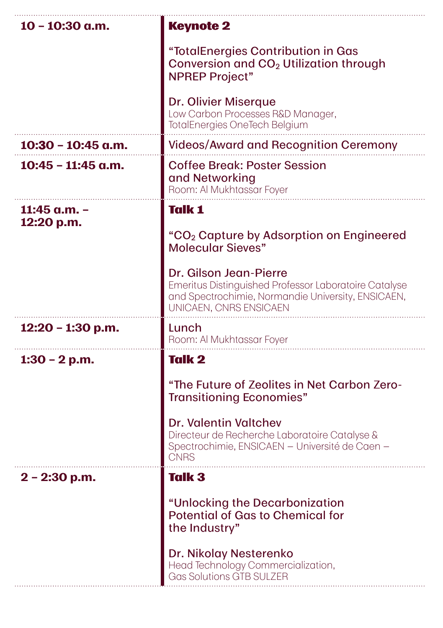| $10 - 10:30$ a.m.          | <b>Keynote 2</b>                                                                                                                                                                                                                                                     |
|----------------------------|----------------------------------------------------------------------------------------------------------------------------------------------------------------------------------------------------------------------------------------------------------------------|
|                            | "TotalEnergies Contribution in Gas<br>Conversion and CO <sub>2</sub> Utilization through<br><b>NPREP Project"</b>                                                                                                                                                    |
|                            | Dr. Olivier Miserque<br>Low Carbon Processes R&D Manager,<br>TotalEnergies OneTech Belgium                                                                                                                                                                           |
| $10:30 - 10:45$ a.m.       | <b>Videos/Award and Recognition Ceremony</b>                                                                                                                                                                                                                         |
| $10:45 - 11:45$ a.m.       | <b>Coffee Break: Poster Session</b><br>and Networking<br>Room: Al Mukhtassar Foyer                                                                                                                                                                                   |
| 11:45 a.m. -<br>12:20 p.m. | <b>Talk 1</b><br>"CO <sub>2</sub> Capture by Adsorption on Engineered<br><b>Molecular Sieves"</b><br>Dr. Gilson Jean-Pierre<br>Emeritus Distinguished Professor Laboratoire Catalyse<br>and Spectrochimie, Normandie University, ENSICAEN,<br>UNICAEN, CNRS ENSICAEN |
| 12:20 - 1:30 p.m.          | Lunch<br>Room: Al Mukhtassar Foyer                                                                                                                                                                                                                                   |
| $1:30 - 2 p.m.$            | <b>Talk 2</b>                                                                                                                                                                                                                                                        |
|                            | "The Future of Zeolites in Net Carbon Zero-<br><b>Transitioning Economies"</b>                                                                                                                                                                                       |
|                            | <b>Dr. Valentin Valtchev</b><br>Directeur de Recherche Laboratoire Catalyse &<br>Spectrochimie, ENSICAEN - Université de Caen -<br><b>CNRS</b>                                                                                                                       |
| $2 - 2:30$ p.m.            | <b>Talk 3</b>                                                                                                                                                                                                                                                        |
|                            | "Unlocking the Decarbonization<br><b>Potential of Gas to Chemical for</b><br>the Industry"                                                                                                                                                                           |
|                            | Dr. Nikolay Nesterenko<br>Head Technology Commercialization,<br><b>Gas Solutions GTB SULZER</b>                                                                                                                                                                      |